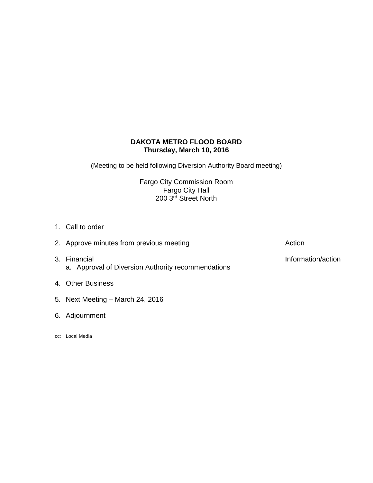# **DAKOTA METRO FLOOD BOARD Thursday, March 10, 2016**

(Meeting to be held following Diversion Authority Board meeting)

Fargo City Commission Room Fargo City Hall 200 3<sup>rd</sup> Street North

- 1. Call to order
- 3. Financial **Information/action** a. Approval of Diversion Authority recommendations
- 4. Other Business
- 5. Next Meeting March 24, 2016
- 6. Adjournment
- cc: Local Media

2. Approve minutes from previous meeting and action action Action